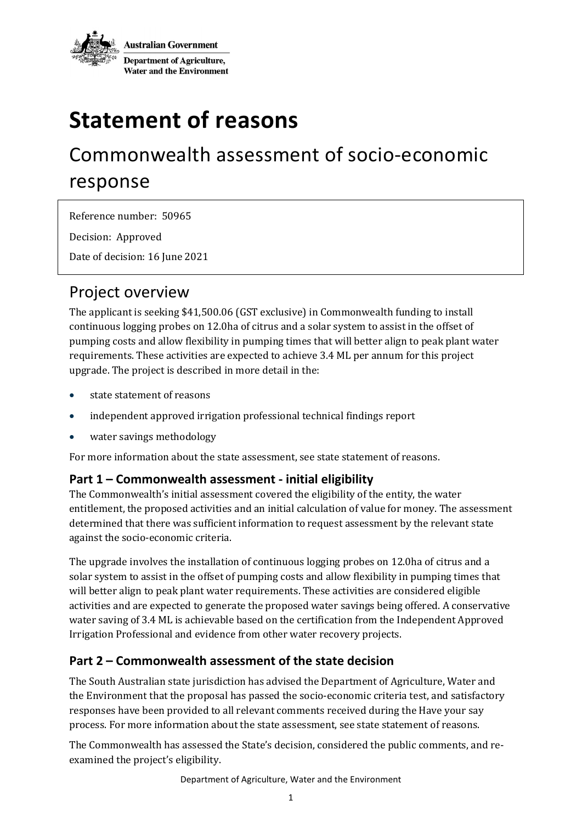

# **Statement of reasons**

## Commonwealth assessment of socio-economic response

Reference number: 50965

Decision: Approved

Date of decision: 16 June 2021

### Project overview

The applicant is seeking \$41,500.06 (GST exclusive) in Commonwealth funding to install continuous logging probes on 12.0ha of citrus and a solar system to assist in the offset of pumping costs and allow flexibility in pumping times that will better align to peak plant water requirements. These activities are expected to achieve 3.4 ML per annum for this project upgrade. The project is described in more detail in the:

- state statement of reasons
- independent approved irrigation professional technical findings report
- water savings methodology

For more information about the state assessment, see state statement of reasons.

#### **Part 1 – Commonwealth assessment - initial eligibility**

The Commonwealth's initial assessment covered the eligibility of the entity, the water entitlement, the proposed activities and an initial calculation of value for money. The assessment determined that there was sufficient information to request assessment by the relevant state against the socio-economic criteria.

The upgrade involves the installation of continuous logging probes on 12.0ha of citrus and a solar system to assist in the offset of pumping costs and allow flexibility in pumping times that will better align to peak plant water requirements. These activities are considered eligible activities and are expected to generate the proposed water savings being offered. A conservative water saving of 3.4 ML is achievable based on the certification from the Independent Approved Irrigation Professional and evidence from other water recovery projects.

#### **Part 2 – Commonwealth assessment of the state decision**

The South Australian state jurisdiction has advised the Department of Agriculture, Water and the Environment that the proposal has passed the socio-economic criteria test, and satisfactory responses have been provided to all relevant comments received during the Have your say process. For more information about the state assessment, see state statement of reasons.

The Commonwealth has assessed the State's decision, considered the public comments, and reexamined the project's eligibility.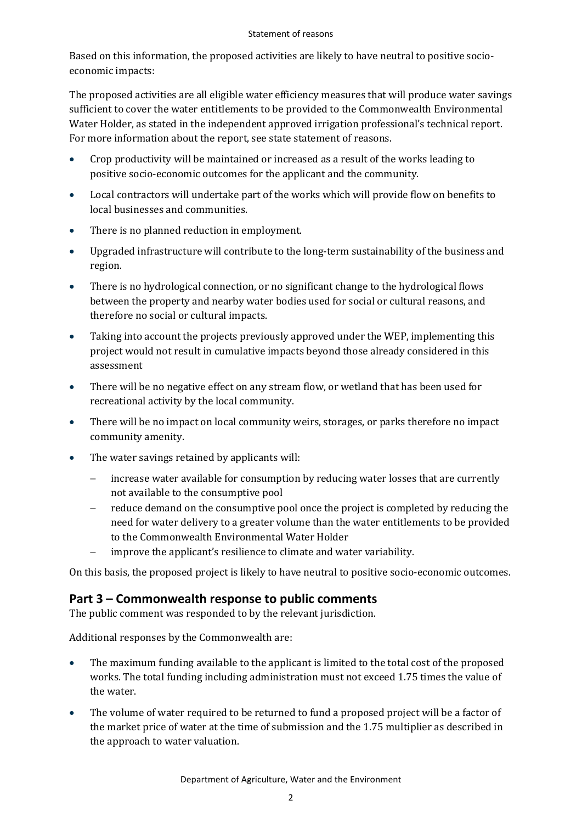#### Statement of reasons

Based on this information, the proposed activities are likely to have neutral to positive socioeconomic impacts:

The proposed activities are all eligible water efficiency measures that will produce water savings sufficient to cover the water entitlements to be provided to the Commonwealth Environmental Water Holder, as stated in the independent approved irrigation professional's technical report. For more information about the report, see state statement of reasons.

- Crop productivity will be maintained or increased as a result of the works leading to positive socio-economic outcomes for the applicant and the community.
- Local contractors will undertake part of the works which will provide flow on benefits to local businesses and communities.
- There is no planned reduction in employment.
- Upgraded infrastructure will contribute to the long-term sustainability of the business and region.
- There is no hydrological connection, or no significant change to the hydrological flows between the property and nearby water bodies used for social or cultural reasons, and therefore no social or cultural impacts.
- Taking into account the projects previously approved under the WEP, implementing this project would not result in cumulative impacts beyond those already considered in this assessment
- There will be no negative effect on any stream flow, or wetland that has been used for recreational activity by the local community.
- There will be no impact on local community weirs, storages, or parks therefore no impact community amenity.
- The water savings retained by applicants will:
	- increase water available for consumption by reducing water losses that are currently not available to the consumptive pool
	- reduce demand on the consumptive pool once the project is completed by reducing the need for water delivery to a greater volume than the water entitlements to be provided to the Commonwealth Environmental Water Holder
	- improve the applicant's resilience to climate and water variability.

On this basis, the proposed project is likely to have neutral to positive socio-economic outcomes.

#### **Part 3 – Commonwealth response to public comments**

The public comment was responded to by the relevant jurisdiction.

Additional responses by the Commonwealth are:

- The maximum funding available to the applicant is limited to the total cost of the proposed works. The total funding including administration must not exceed 1.75 times the value of the water.
- The volume of water required to be returned to fund a proposed project will be a factor of the market price of water at the time of submission and the 1.75 multiplier as described in the approach to water valuation.